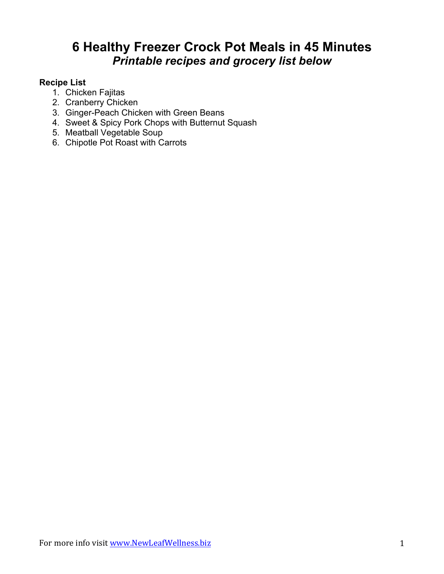# **6 Healthy Freezer Crock Pot Meals in 45 Minutes** *Printable recipes and grocery list below*

## **Recipe List**

- 1. Chicken Fajitas
- 2. Cranberry Chicken
- 3. Ginger-Peach Chicken with Green Beans
- 4. Sweet & Spicy Pork Chops with Butternut Squash
- 5. Meatball Vegetable Soup
- 6. Chipotle Pot Roast with Carrots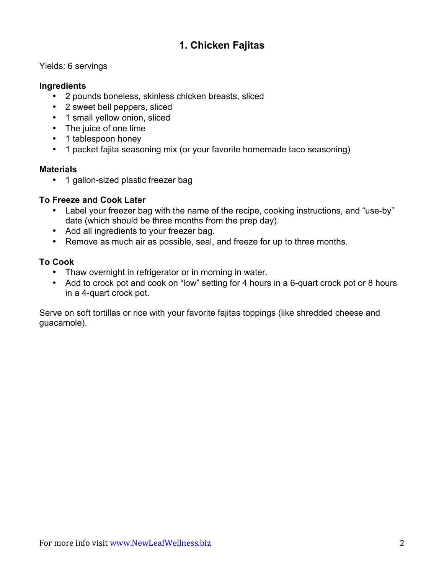## **1. Chicken Fajitas**

## Yields: 6 servings

#### **Ingredients**

- 2 pounds boneless, skinless chicken breasts, sliced
- 2 sweet bell peppers, sliced
- 1 small yellow onion, sliced
- The juice of one lime
- 1 tablespoon honey
- 1 packet fajita seasoning mix (or your favorite homemade taco seasoning)

#### **Materials**

• 1 gallon-sized plastic freezer bag

## **To Freeze and Cook Later**

- Label your freezer bag with the name of the recipe, cooking instructions, and "use-by" date (which should be three months from the prep day).
- Add all ingredients to your freezer bag.
- Remove as much air as possible, seal, and freeze for up to three months.

## **To Cook**

- Thaw overnight in refrigerator or in morning in water.
- Add to crock pot and cook on "low" setting for 4 hours in a 6-quart crock pot or 8 hours in a 4-quart crock pot.

Serve on soft tortillas or rice with your favorite fajitas toppings (like shredded cheese and guacamole).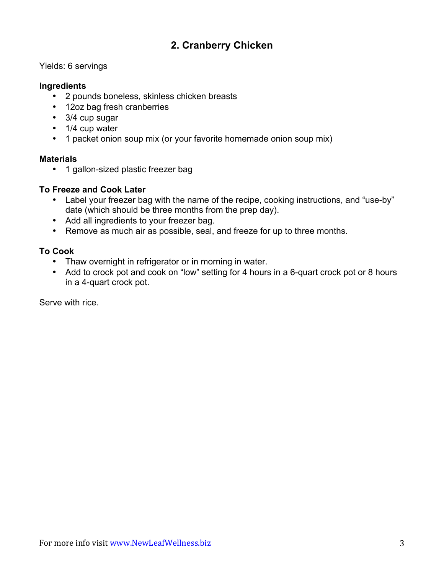## **2. Cranberry Chicken**

## Yields: 6 servings

### **Ingredients**

- 2 pounds boneless, skinless chicken breasts
- 12oz bag fresh cranberries
- 3/4 cup sugar
- 1/4 cup water
- 1 packet onion soup mix (or your favorite homemade onion soup mix)

#### **Materials**

• 1 gallon-sized plastic freezer bag

## **To Freeze and Cook Later**

- Label your freezer bag with the name of the recipe, cooking instructions, and "use-by" date (which should be three months from the prep day).
- Add all ingredients to your freezer bag.
- Remove as much air as possible, seal, and freeze for up to three months.

## **To Cook**

- Thaw overnight in refrigerator or in morning in water.
- Add to crock pot and cook on "low" setting for 4 hours in a 6-quart crock pot or 8 hours in a 4-quart crock pot.

Serve with rice.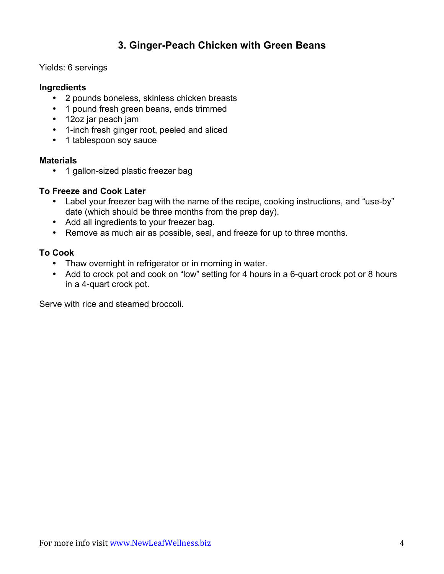## **3. Ginger-Peach Chicken with Green Beans**

Yields: 6 servings

## **Ingredients**

- 2 pounds boneless, skinless chicken breasts
- 1 pound fresh green beans, ends trimmed
- 12oz jar peach jam
- 1-inch fresh ginger root, peeled and sliced
- 1 tablespoon soy sauce

#### **Materials**

• 1 gallon-sized plastic freezer bag

## **To Freeze and Cook Later**

- Label your freezer bag with the name of the recipe, cooking instructions, and "use-by" date (which should be three months from the prep day).
- Add all ingredients to your freezer bag.
- Remove as much air as possible, seal, and freeze for up to three months.

## **To Cook**

- Thaw overnight in refrigerator or in morning in water.
- Add to crock pot and cook on "low" setting for 4 hours in a 6-quart crock pot or 8 hours in a 4-quart crock pot.

Serve with rice and steamed broccoli.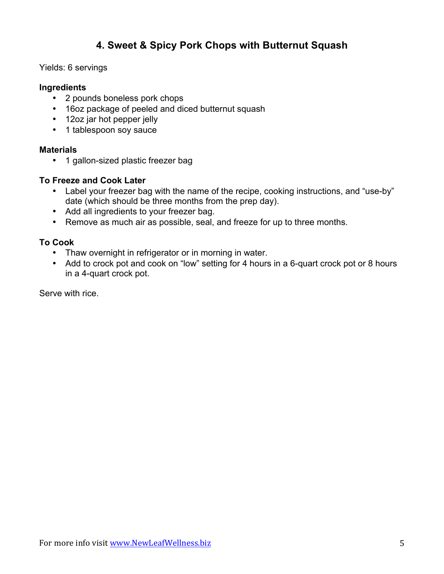## **4. Sweet & Spicy Pork Chops with Butternut Squash**

## Yields: 6 servings

#### **Ingredients**

- 2 pounds boneless pork chops
- 16oz package of peeled and diced butternut squash
- 12oz jar hot pepper jelly
- 1 tablespoon soy sauce

#### **Materials**

• 1 gallon-sized plastic freezer bag

## **To Freeze and Cook Later**

- Label your freezer bag with the name of the recipe, cooking instructions, and "use-by" date (which should be three months from the prep day).
- Add all ingredients to your freezer bag.
- Remove as much air as possible, seal, and freeze for up to three months.

## **To Cook**

- Thaw overnight in refrigerator or in morning in water.
- Add to crock pot and cook on "low" setting for 4 hours in a 6-quart crock pot or 8 hours in a 4-quart crock pot.

Serve with rice.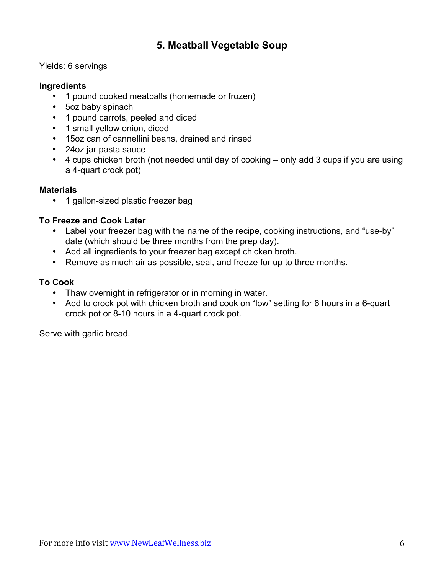## **5. Meatball Vegetable Soup**

Yields: 6 servings

## **Ingredients**

- 1 pound cooked meatballs (homemade or frozen)
- 5oz baby spinach
- 1 pound carrots, peeled and diced
- 1 small yellow onion, diced
- 15oz can of cannellini beans, drained and rinsed
- 24oz jar pasta sauce
- 4 cups chicken broth (not needed until day of cooking only add 3 cups if you are using a 4-quart crock pot)

## **Materials**

• 1 gallon-sized plastic freezer bag

## **To Freeze and Cook Later**

- Label your freezer bag with the name of the recipe, cooking instructions, and "use-by" date (which should be three months from the prep day).
- Add all ingredients to your freezer bag except chicken broth.
- Remove as much air as possible, seal, and freeze for up to three months.

## **To Cook**

- Thaw overnight in refrigerator or in morning in water.
- Add to crock pot with chicken broth and cook on "low" setting for 6 hours in a 6-quart crock pot or 8-10 hours in a 4-quart crock pot.

Serve with garlic bread.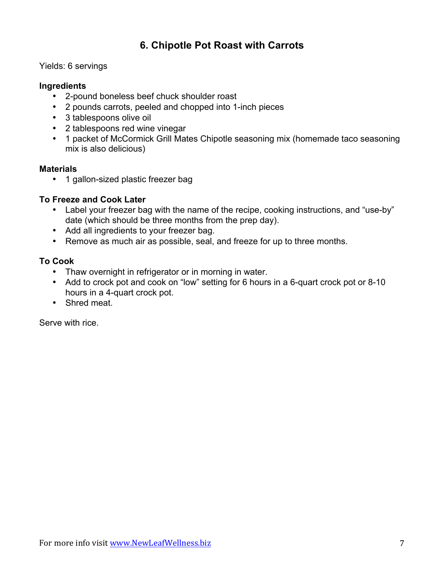## **6. Chipotle Pot Roast with Carrots**

Yields: 6 servings

## **Ingredients**

- 2-pound boneless beef chuck shoulder roast
- 2 pounds carrots, peeled and chopped into 1-inch pieces
- 3 tablespoons olive oil
- 2 tablespoons red wine vinegar
- 1 packet of McCormick Grill Mates Chipotle seasoning mix (homemade taco seasoning mix is also delicious)

## **Materials**

• 1 gallon-sized plastic freezer bag

## **To Freeze and Cook Later**

- Label your freezer bag with the name of the recipe, cooking instructions, and "use-by" date (which should be three months from the prep day).
- Add all ingredients to your freezer bag.
- Remove as much air as possible, seal, and freeze for up to three months.

## **To Cook**

- Thaw overnight in refrigerator or in morning in water.
- Add to crock pot and cook on "low" setting for 6 hours in a 6-quart crock pot or 8-10 hours in a 4-quart crock pot.
- Shred meat.

Serve with rice.